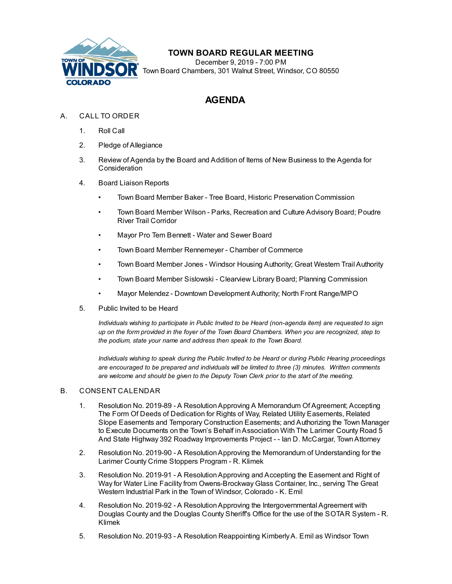

## **TOWN BOARD REGULAR MEETING**

December 9, 2019 - 7:00 PM Town Board Chambers, 301 Walnut Street, Windsor, CO 80550

# **AGENDA**

### A. CALL TO ORDER

- 1. Roll Call
- 2. Pledge of Allegiance
- 3. Review of Agenda by the Board and Addition of Items of New Business to the Agenda for Consideration
- 4. Board Liaison Reports
	- Town Board Member Baker Tree Board, Historic Preservation Commission
	- Town Board Member Wilson Parks, Recreation and Culture Advisory Board; Poudre River Trail Corridor
	- Mayor Pro Tem Bennett Water and Sewer Board
	- Town Board Member Rennemeyer Chamber of Commerce
	- Town Board Member Jones Windsor Housing Authority; Great Western Trail Authority
	- Town Board Member Sislowski Clearview Library Board; Planning Commission
	- Mayor Melendez Downtown Development Authority; North Front Range/MPO
- 5. Public Invited to be Heard

*Individuals wishing to participate in Public Invited to be Heard (non-agenda item) are requested to sign up on the form provided in the foyer of the Town Board Chambers. When you are recognized, step to the podium, state your name and address then speak to the Town Board.*

*Individuals wishing to speak during the Public Invited to be Heard or during Public Hearing proceedings are encouraged to be prepared and individuals will be limited to three (3) minutes. Written comments are welcome and should be given to the Deputy Town Clerk prior to the start of the meeting.*

#### B. CONSENT CALENDAR

- 1. Resolution No. 2019-89 A Resolution Approving A Memorandum Of Agreement; Accepting The Form Of Deeds of Dedication for Rights of Way, Related Utility Easements, Related [Slope Easements and Temporary Construction Easements; and Authorizing the Town Manager](file:///C:/Windows/TEMP/CoverSheet.aspx?ItemID=652&MeetingID=40) to Execute Documents on the Town's Behalf in Association With The Larimer County Road 5 And State Highway 392 Roadway Improvements Project - - Ian D. McCargar, Town Attorney
- 2. [Resolution No. 2019-90 A Resolution Approving the Memorandum of Understanding for the](file:///C:/Windows/TEMP/CoverSheet.aspx?ItemID=653&MeetingID=40) Larimer County Crime Stoppers Program - R. Klimek
- 3. [Resolution No. 2019-91 A Resolution Approving and Accepting the Easement and Right of](file:///C:/Windows/TEMP/CoverSheet.aspx?ItemID=655&MeetingID=40) Way for Water Line Facility from Owens-Brockway Glass Container, Inc., serving The Great Western Industrial Park in the Town of Windsor, Colorado - K. Emil
- 4. Resolution No. 2019-92 A Resolution Approving the Intergovernmental Agreement with [Douglas County and the Douglas County Sheriff's Office for the use of the SOTAR System - R.](file:///C:/Windows/TEMP/CoverSheet.aspx?ItemID=654&MeetingID=40) Klimek
- 5. [Resolution No. 2019-93 A Resolution Reappointing Kimberly A. Emil as Windsor Town](file:///C:/Windows/TEMP/CoverSheet.aspx?ItemID=658&MeetingID=40)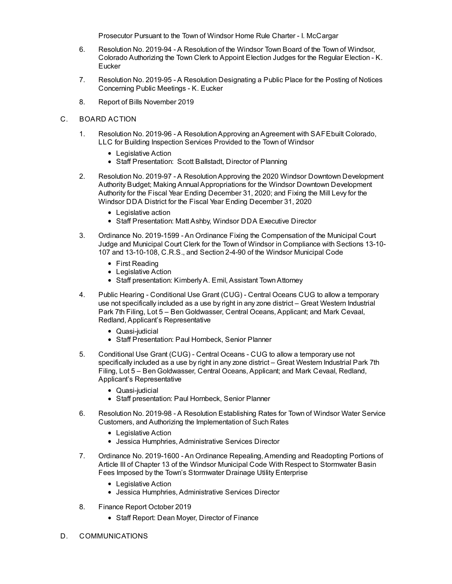Prosecutor Pursuant to the Town of Windsor Home Rule Charter - I. McCargar

- 6. Resolution No. 2019-94 A Resolution of the Windsor Town Board of the Town of Windsor, [Colorado Authorizing the Town Clerk to Appoint Election Judges for the Regular Election - K.](file:///C:/Windows/TEMP/CoverSheet.aspx?ItemID=660&MeetingID=40) **Eucker**
- 7. [Resolution No. 2019-95 A Resolution Designating a Public Place for the Posting of Notices](file:///C:/Windows/TEMP/CoverSheet.aspx?ItemID=661&MeetingID=40) Concerning Public Meetings - K. Eucker
- 8. [Report of Bills November 2019](file:///C:/Windows/TEMP/CoverSheet.aspx?ItemID=651&MeetingID=40)
- C. BOARD ACTION
	- 1. [Resolution No. 2019-96 A Resolution Approving an Agreement with SAFEbuilt Colorado,](file:///C:/Windows/TEMP/CoverSheet.aspx?ItemID=599&MeetingID=40) LLC for Building Inspection Services Provided to the Town of Windsor
		- Legislative Action
		- Staff Presentation: Scott Ballstadt, Director of Planning
	- 2. [Resolution No. 2019-97 A Resolution Approving the 2020 Windsor Downtown Development](file:///C:/Windows/TEMP/CoverSheet.aspx?ItemID=664&MeetingID=40) Authority Budget; Making Annual Appropriations for the Windsor Downtown Development Authority for the Fiscal Year Ending December 31, 2020; and Fixing the Mill Levy for the Windsor DDA District for the Fiscal Year Ending December 31, 2020
		- Legislative action
		- Staff Presentation: Matt Ashby, Windsor DDA Executive Director
	- 3. Ordinance No. 2019-1599 An Ordinance Fixing the Compensation of the Municipal Court [Judge and Municipal Court Clerk for the Town of Windsor in Compliance with Sections 13-10-](file:///C:/Windows/TEMP/CoverSheet.aspx?ItemID=649&MeetingID=40) 107 and 13-10-108, C.R.S., and Section 2-4-90 of the Windsor Municipal Code
		- First Reading
		- Legislative Action
		- Staff presentation: Kimberly A. Emil, Assistant Town Attorney
	- 4. [Public Hearing Conditional Use Grant \(CUG\) Central Oceans CUG to allow a temporary](file:///C:/Windows/TEMP/CoverSheet.aspx?ItemID=656&MeetingID=40) use not specifically included as a use by right in any zone district – Great Western Industrial Park 7th Filing, Lot 5 – Ben Goldwasser, Central Oceans, Applicant; and Mark Cevaal, Redland, Applicant's Representative
		- Quasi-judicial
		- Staff Presentation: Paul Hornbeck, Senior Planner
	- 5. Conditional Use Grant (CUG) Central Oceans CUG to allow a temporary use not [specifically included as a use by right in any zone district – Great Western Industrial Park 7th](file:///C:/Windows/TEMP/CoverSheet.aspx?ItemID=657&MeetingID=40) Filing, Lot 5 – Ben Goldwasser, Central Oceans, Applicant; and Mark Cevaal, Redland, Applicant's Representative
		- Quasi-judicial
		- Staff presentation: Paul Hornbeck, Senior Planner
	- 6. [Resolution No. 2019-98 A Resolution Establishing Rates for Town of Windsor Water Service](file:///C:/Windows/TEMP/CoverSheet.aspx?ItemID=665&MeetingID=40) Customers, and Authorizing the Implementation of Such Rates
		- Legislative Action
		- Jessica Humphries, Administrative Services Director
	- 7. [Ordinance No. 2019-1600 An Ordinance Repealing, Amending and Readopting Portions of](file:///C:/Windows/TEMP/CoverSheet.aspx?ItemID=666&MeetingID=40) Article III of Chapter 13 of the Windsor Municipal Code With Respect to Stormwater Basin Fees Imposed by the Town's Stormwater Drainage Utility Enterprise
		- Legislative Action
		- Jessica Humphries, Administrative Services Director
	- 8. Finance Report October 2019
		- Staff Report: Dean Moyer, Director of Finance
- D. COMMUNICATIONS